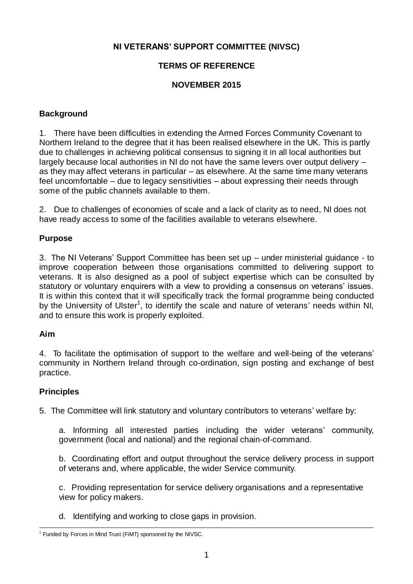## **NI VETERANS' SUPPORT COMMITTEE (NIVSC)**

# **TERMS OF REFERENCE**

## **NOVEMBER 2015**

#### **Background**

1. There have been difficulties in extending the Armed Forces Community Covenant to Northern Ireland to the degree that it has been realised elsewhere in the UK. This is partly due to challenges in achieving political consensus to signing it in all local authorities but largely because local authorities in NI do not have the same levers over output delivery – as they may affect veterans in particular – as elsewhere. At the same time many veterans feel uncomfortable – due to legacy sensitivities – about expressing their needs through some of the public channels available to them.

2. Due to challenges of economies of scale and a lack of clarity as to need, NI does not have ready access to some of the facilities available to veterans elsewhere.

## **Purpose**

3. The NI Veterans' Support Committee has been set up – under ministerial guidance - to improve cooperation between those organisations committed to delivering support to veterans. It is also designed as a pool of subject expertise which can be consulted by statutory or voluntary enquirers with a view to providing a consensus on veterans' issues. It is within this context that it will specifically track the formal programme being conducted by the University of Ulster<sup>1</sup>, to identify the scale and nature of veterans' needs within NI, and to ensure this work is properly exploited.

#### **Aim**

4. To facilitate the optimisation of support to the welfare and well-being of the veterans' community in Northern Ireland through co-ordination, sign posting and exchange of best practice.

#### **Principles**

5. The Committee will link statutory and voluntary contributors to veterans' welfare by:

a. Informing all interested parties including the wider veterans' community, government (local and national) and the regional chain-of-command.

b. Coordinating effort and output throughout the service delivery process in support of veterans and, where applicable, the wider Service community.

c. Providing representation for service delivery organisations and a representative view for policy makers.

d. Identifying and working to close gaps in provision.

<sup>&</sup>lt;sup>1</sup> Funded by Forces in Mind Trust (FiMT) sponsored by the NIVSC.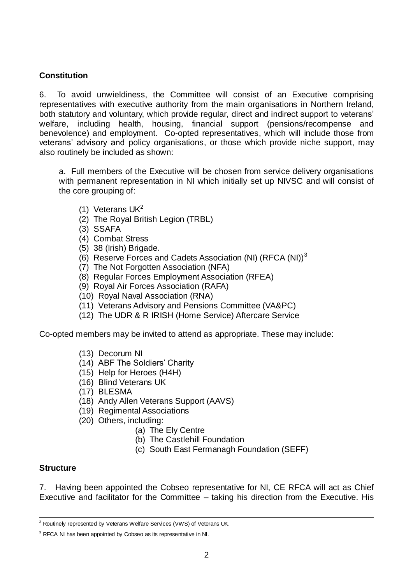## **Constitution**

6. To avoid unwieldiness, the Committee will consist of an Executive comprising representatives with executive authority from the main organisations in Northern Ireland, both statutory and voluntary, which provide regular, direct and indirect support to veterans' welfare, including health, housing, financial support (pensions/recompense and benevolence) and employment. Co-opted representatives, which will include those from veterans' advisory and policy organisations, or those which provide niche support, may also routinely be included as shown:

a. Full members of the Executive will be chosen from service delivery organisations with permanent representation in NI which initially set up NIVSC and will consist of the core grouping of:

- (1) Veterans  $UK<sup>2</sup>$
- (2) The Royal British Legion (TRBL)
- (3) SSAFA
- (4) Combat Stress
- (5) 38 (Irish) Brigade.
- (6) Reserve Forces and Cadets Association (NI)  $(RFCA(NI))^3$
- (7) The Not Forgotten Association (NFA)
- (8) Regular Forces Employment Association (RFEA)
- (9) Royal Air Forces Association (RAFA)
- (10) Royal Naval Association (RNA)
- (11) Veterans Advisory and Pensions Committee (VA&PC)
- (12) The UDR & R IRISH (Home Service) Aftercare Service

Co-opted members may be invited to attend as appropriate. These may include:

- (13) Decorum NI
- (14) ABF The Soldiers' Charity
- (15) Help for Heroes (H4H)
- (16) Blind Veterans UK
- (17) BLESMA
- (18) Andy Allen Veterans Support (AAVS)
- (19) Regimental Associations
- (20) Others, including:
	- (a) The Ely Centre
	- (b) The Castlehill Foundation
	- (c) South East Fermanagh Foundation (SEFF)

#### **Structure**

7.Having been appointed the Cobseo representative for NI, CE RFCA will act as Chief Executive and facilitator for the Committee – taking his direction from the Executive. His

  $2$  Routinely represented by Veterans Welfare Services (VWS) of Veterans UK.

<sup>&</sup>lt;sup>3</sup> RFCA NI has been appointed by Cobseo as its representative in NI.